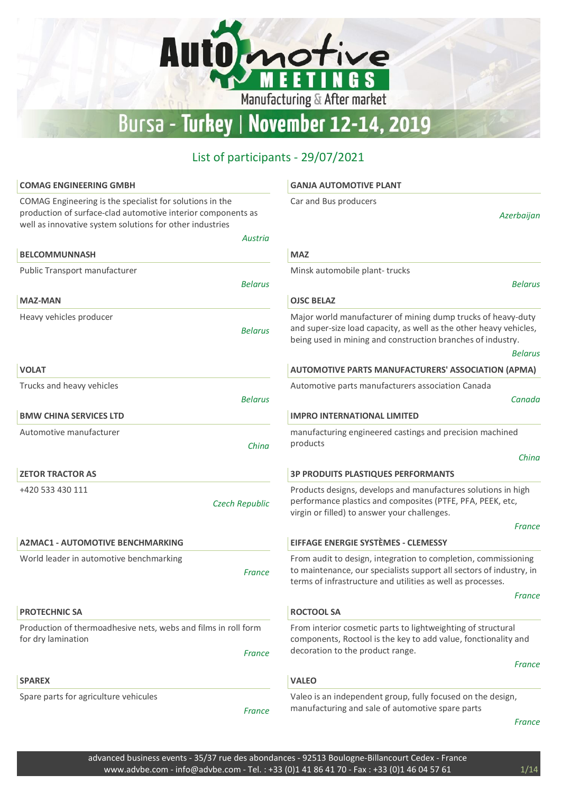# Automotive Bursa - Turkey | November 12-14, 2019

| <b>COMAG ENGINEERING GMBH</b>                                                                                                                                                        | <b>GANJA AUTOMOTIVE PLANT</b>                                                                                                                                                                                         |
|--------------------------------------------------------------------------------------------------------------------------------------------------------------------------------------|-----------------------------------------------------------------------------------------------------------------------------------------------------------------------------------------------------------------------|
| COMAG Engineering is the specialist for solutions in the<br>production of surface-clad automotive interior components as<br>well as innovative system solutions for other industries | Car and Bus producers<br>Azerbaijan                                                                                                                                                                                   |
| <b>Austria</b>                                                                                                                                                                       |                                                                                                                                                                                                                       |
| <b>BELCOMMUNNASH</b>                                                                                                                                                                 | <b>MAZ</b>                                                                                                                                                                                                            |
| Public Transport manufacturer                                                                                                                                                        | Minsk automobile plant-trucks                                                                                                                                                                                         |
| <b>Belarus</b>                                                                                                                                                                       | <b>Belarus</b>                                                                                                                                                                                                        |
| <b>MAZ-MAN</b>                                                                                                                                                                       | <b>OJSC BELAZ</b>                                                                                                                                                                                                     |
| Heavy vehicles producer<br><b>Belarus</b>                                                                                                                                            | Major world manufacturer of mining dump trucks of heavy-duty<br>and super-size load capacity, as well as the other heavy vehicles,<br>being used in mining and construction branches of industry.<br><b>Belarus</b>   |
| <b>VOLAT</b>                                                                                                                                                                         | <b>AUTOMOTIVE PARTS MANUFACTURERS' ASSOCIATION (APMA)</b>                                                                                                                                                             |
| Trucks and heavy vehicles                                                                                                                                                            | Automotive parts manufacturers association Canada                                                                                                                                                                     |
| <b>Belarus</b>                                                                                                                                                                       | Canada                                                                                                                                                                                                                |
| <b>BMW CHINA SERVICES LTD</b>                                                                                                                                                        | <b>IMPRO INTERNATIONAL LIMITED</b>                                                                                                                                                                                    |
| Automotive manufacturer<br>China                                                                                                                                                     | manufacturing engineered castings and precision machined<br>products<br>China                                                                                                                                         |
| <b>ZETOR TRACTOR AS</b>                                                                                                                                                              | <b>3P PRODUITS PLASTIQUES PERFORMANTS</b>                                                                                                                                                                             |
| +420 533 430 111<br><b>Czech Republic</b>                                                                                                                                            | Products designs, develops and manufactures solutions in high<br>performance plastics and composites (PTFE, PFA, PEEK, etc,<br>virgin or filled) to answer your challenges.<br>France                                 |
| <b>A2MAC1 - AUTOMOTIVE BENCHMARKING</b>                                                                                                                                              | EIFFAGE ENERGIE SYSTÈMES - CLEMESSY                                                                                                                                                                                   |
| World leader in automotive benchmarking<br><b>France</b>                                                                                                                             | From audit to design, integration to completion, commissioning<br>to maintenance, our specialists support all sectors of industry, in<br>terms of infrastructure and utilities as well as processes.<br><b>France</b> |
| <b>PROTECHNIC SA</b>                                                                                                                                                                 | <b>ROCTOOL SA</b>                                                                                                                                                                                                     |
| Production of thermoadhesive nets, webs and films in roll form<br>for dry lamination<br>France                                                                                       | From interior cosmetic parts to lightweighting of structural<br>components, Roctool is the key to add value, fonctionality and<br>decoration to the product range.<br>France                                          |
| <b>SPAREX</b>                                                                                                                                                                        | <b>VALEO</b>                                                                                                                                                                                                          |
| Spare parts for agriculture vehicules<br>France                                                                                                                                      | Valeo is an independent group, fully focused on the design,<br>manufacturing and sale of automotive spare parts<br>France                                                                                             |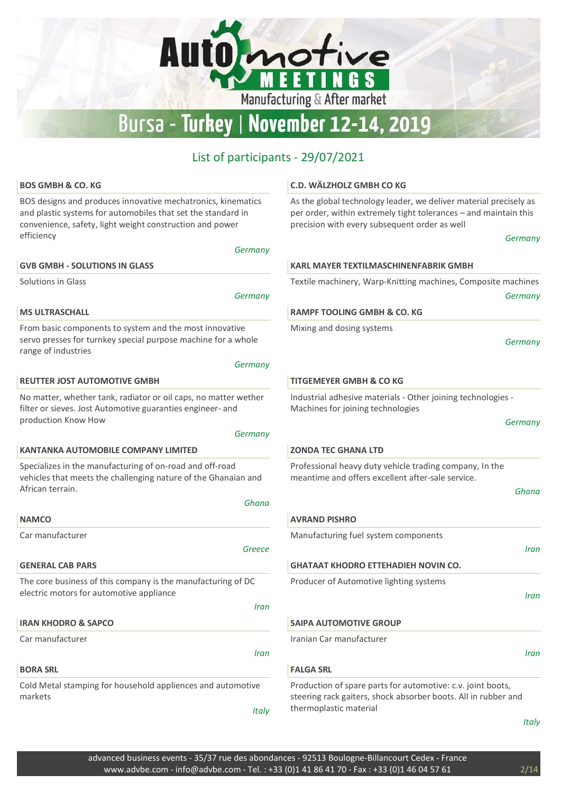Manufacturing & After market

tive

G<sub>S</sub>

Automo

#### List of participants - 29/07/2021

| <b>BOS GMBH &amp; CO. KG</b>                                                                                                                                                             | C.D. WÄLZHOLZ GMBH CO KG                                                                                                                                                               |
|------------------------------------------------------------------------------------------------------------------------------------------------------------------------------------------|----------------------------------------------------------------------------------------------------------------------------------------------------------------------------------------|
| BOS designs and produces innovative mechatronics, kinematics<br>and plastic systems for automobiles that set the standard in<br>convenience, safety, light weight construction and power | As the global technology leader, we deliver material precisely as<br>per order, within extremely tight tolerances - and maintain this<br>precision with every subsequent order as well |
| efficiency<br>Germany                                                                                                                                                                    | Germany                                                                                                                                                                                |
| <b>GVB GMBH - SOLUTIONS IN GLASS</b>                                                                                                                                                     | <b>KARL MAYER TEXTILMASCHINENFABRIK GMBH</b>                                                                                                                                           |
| Solutions in Glass                                                                                                                                                                       | Textile machinery, Warp-Knitting machines, Composite machines                                                                                                                          |
| Germany                                                                                                                                                                                  | Germany                                                                                                                                                                                |
| <b>MS ULTRASCHALL</b>                                                                                                                                                                    | <b>RAMPF TOOLING GMBH &amp; CO. KG</b>                                                                                                                                                 |
| From basic components to system and the most innovative<br>servo presses for turnkey special purpose machine for a whole<br>range of industries<br>Germany                               | Mixing and dosing systems<br>Germany                                                                                                                                                   |
| <b>REUTTER JOST AUTOMOTIVE GMBH</b>                                                                                                                                                      | <b>TITGEMEYER GMBH &amp; CO KG</b>                                                                                                                                                     |
| No matter, whether tank, radiator or oil caps, no matter wether<br>filter or sieves. Jost Automotive guaranties engineer- and                                                            | Industrial adhesive materials - Other joining technologies -<br>Machines for joining technologies                                                                                      |
| production Know How                                                                                                                                                                      | Germany                                                                                                                                                                                |
| Germany<br><b>KANTANKA AUTOMOBILE COMPANY LIMITED</b>                                                                                                                                    | <b>ZONDA TEC GHANA LTD</b>                                                                                                                                                             |
|                                                                                                                                                                                          |                                                                                                                                                                                        |
| Specializes in the manufacturing of on-road and off-road<br>vehicles that meets the challenging nature of the Ghanaian and<br>African terrain.                                           | Professional heavy duty vehicle trading company, In the<br>meantime and offers excellent after-sale service.                                                                           |
| Ghana                                                                                                                                                                                    | Ghana                                                                                                                                                                                  |
| <b>NAMCO</b>                                                                                                                                                                             | <b>AVRAND PISHRO</b>                                                                                                                                                                   |
| Car manufacturer                                                                                                                                                                         | Manufacturing fuel system components                                                                                                                                                   |
| Greece                                                                                                                                                                                   | Iran                                                                                                                                                                                   |
| <b>GENERAL CAB PARS</b>                                                                                                                                                                  | <b>GHATAAT KHODRO ETTEHADIEH NOVIN CO.</b>                                                                                                                                             |
| The core business of this company is the manufacturing of DC<br>electric motors for automotive appliance                                                                                 | Producer of Automotive lighting systems<br>Iran                                                                                                                                        |
| Iran                                                                                                                                                                                     |                                                                                                                                                                                        |
| <b>IRAN KHODRO &amp; SAPCO</b>                                                                                                                                                           | <b>SAIPA AUTOMOTIVE GROUP</b>                                                                                                                                                          |
| Car manufacturer                                                                                                                                                                         | Iranian Car manufacturer                                                                                                                                                               |
| Iran                                                                                                                                                                                     | Iran                                                                                                                                                                                   |
| <b>BORA SRL</b>                                                                                                                                                                          | <b>FALGA SRL</b>                                                                                                                                                                       |
| Cold Metal stamping for household appliences and automotive<br>markets<br><b>Italy</b>                                                                                                   | Production of spare parts for automotive: c.v. joint boots,<br>steering rack gaiters, shock absorber boots. All in rubber and<br>thermoplastic material                                |
|                                                                                                                                                                                          | <b>Italy</b>                                                                                                                                                                           |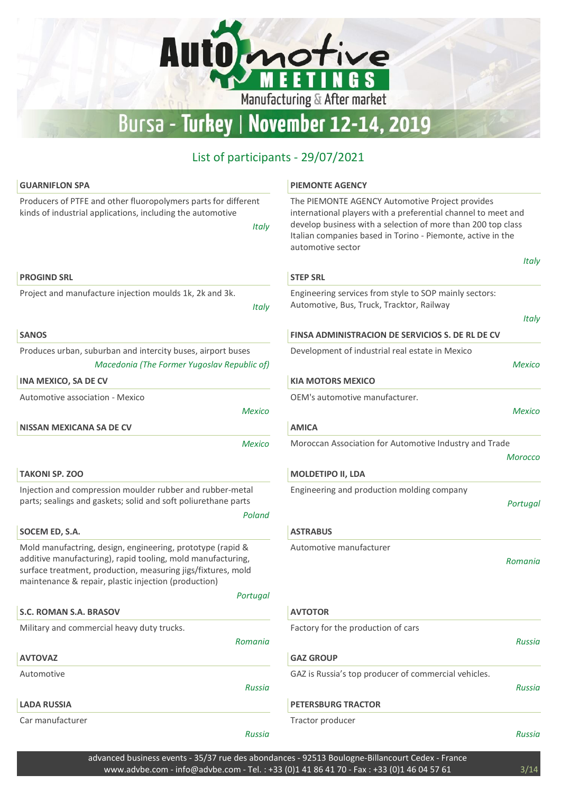Manufacturing & After market

ive

G S

Automo

#### List of participants - 29/07/2021

| <b>GUARNIFLON SPA</b>                                                                                                                                                                                                                             | <b>PIEMONTE AGENCY</b>                                                                                                                                                                                                                                               |
|---------------------------------------------------------------------------------------------------------------------------------------------------------------------------------------------------------------------------------------------------|----------------------------------------------------------------------------------------------------------------------------------------------------------------------------------------------------------------------------------------------------------------------|
| Producers of PTFE and other fluoropolymers parts for different<br>kinds of industrial applications, including the automotive<br><b>Italy</b>                                                                                                      | The PIEMONTE AGENCY Automotive Project provides<br>international players with a preferential channel to meet and<br>develop business with a selection of more than 200 top class<br>Italian companies based in Torino - Piemonte, active in the<br>automotive sector |
| <b>PROGIND SRL</b>                                                                                                                                                                                                                                | <b>STEP SRL</b>                                                                                                                                                                                                                                                      |
| Project and manufacture injection moulds 1k, 2k and 3k.<br><b>Italy</b>                                                                                                                                                                           | Engineering services from style to SOP mainly sectors:<br>Automotive, Bus, Truck, Tracktor, Railway                                                                                                                                                                  |
| <b>SANOS</b>                                                                                                                                                                                                                                      | FINSA ADMINISTRACION DE SERVICIOS S. DE RL DE CV                                                                                                                                                                                                                     |
| Produces urban, suburban and intercity buses, airport buses<br>Macedonia (The Former Yugoslav Republic of)                                                                                                                                        | Development of industrial real estate in Mexico<br>Мe                                                                                                                                                                                                                |
| <b>INA MEXICO, SA DE CV</b>                                                                                                                                                                                                                       | <b>KIA MOTORS MEXICO</b>                                                                                                                                                                                                                                             |
| Automotive association - Mexico<br><b>Mexico</b>                                                                                                                                                                                                  | OEM's automotive manufacturer.<br>Me                                                                                                                                                                                                                                 |
| <b>NISSAN MEXICANA SA DE CV</b>                                                                                                                                                                                                                   | <b>AMICA</b>                                                                                                                                                                                                                                                         |
| <b>Mexico</b>                                                                                                                                                                                                                                     | Moroccan Association for Automotive Industry and Trade<br>More                                                                                                                                                                                                       |
| <b>TAKONI SP. ZOO</b>                                                                                                                                                                                                                             | <b>MOLDETIPO II, LDA</b>                                                                                                                                                                                                                                             |
| Injection and compression moulder rubber and rubber-metal<br>parts; sealings and gaskets; solid and soft poliurethane parts<br>Poland                                                                                                             | Engineering and production molding company<br>Port                                                                                                                                                                                                                   |
| SOCEM ED, S.A.                                                                                                                                                                                                                                    | <b>ASTRABUS</b>                                                                                                                                                                                                                                                      |
| Mold manufactring, design, engineering, prototype (rapid &<br>additive manufacturing), rapid tooling, mold manufacturing,<br>surface treatment, production, measuring jigs/fixtures, mold<br>maintenance & repair, plastic injection (production) | Automotive manufacturer<br>Rom                                                                                                                                                                                                                                       |
| Portugal                                                                                                                                                                                                                                          |                                                                                                                                                                                                                                                                      |
| S.C. ROMAN S.A. BRASOV                                                                                                                                                                                                                            | <b>AVTOTOR</b>                                                                                                                                                                                                                                                       |
| Military and commercial heavy duty trucks.<br>Romania                                                                                                                                                                                             | Factory for the production of cars<br>Rı                                                                                                                                                                                                                             |
| <b>AVTOVAZ</b>                                                                                                                                                                                                                                    | <b>GAZ GROUP</b>                                                                                                                                                                                                                                                     |
| Automotive<br><b>Russia</b>                                                                                                                                                                                                                       | GAZ is Russia's top producer of commercial vehicles.<br>Rı                                                                                                                                                                                                           |
| <b>LADA RUSSIA</b>                                                                                                                                                                                                                                | <b>PETERSBURG TRACTOR</b>                                                                                                                                                                                                                                            |
| Car manufacturer                                                                                                                                                                                                                                  | Tractor producer                                                                                                                                                                                                                                                     |
| <b>Russia</b>                                                                                                                                                                                                                                     | Rι                                                                                                                                                                                                                                                                   |

Russia

Russia

Russia

**Italy** 

**Italy** 

Mexico

Mexico

Morocco

Portugal

Romania

advanced business events - 35/37 rue des abondances - 92513 Boulogne-Billancourt Cedex - France www.advbe.com - info@advbe.com - Tel.: +33 (0)1 41 86 41 70 - Fax: +33 (0)1 46 04 57 61 3/14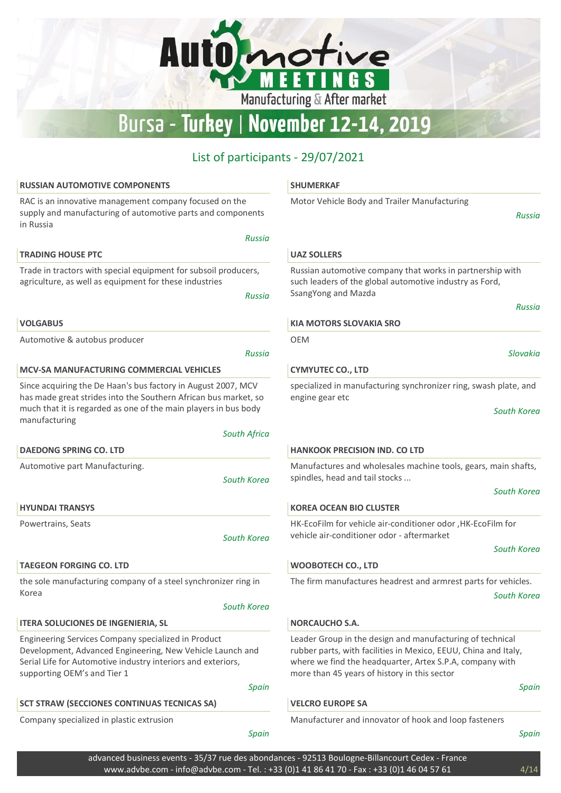Automotive

**FET** 

' ו

Manufacturing & After market

**NGS** 

## List of participants - 29/07/2021

| <b>RUSSIAN AUTOMOTIVE COMPONENTS</b>                                                                                                                                                                | <b>SHUMERKAF</b>                                                                                                                                                            |
|-----------------------------------------------------------------------------------------------------------------------------------------------------------------------------------------------------|-----------------------------------------------------------------------------------------------------------------------------------------------------------------------------|
| RAC is an innovative management company focused on the<br>supply and manufacturing of automotive parts and components<br>in Russia                                                                  | Motor Vehicle Body and Trailer Manufacturing<br>Russia                                                                                                                      |
| <b>Russia</b>                                                                                                                                                                                       |                                                                                                                                                                             |
| <b>TRADING HOUSE PTC</b>                                                                                                                                                                            | <b>UAZ SOLLERS</b>                                                                                                                                                          |
| Trade in tractors with special equipment for subsoil producers,<br>agriculture, as well as equipment for these industries<br><b>Russia</b>                                                          | Russian automotive company that works in partnership with<br>such leaders of the global automotive industry as Ford,<br>SsangYong and Mazda                                 |
| <b>VOLGABUS</b>                                                                                                                                                                                     | Russia<br><b>KIA MOTORS SLOVAKIA SRO</b>                                                                                                                                    |
| Automotive & autobus producer                                                                                                                                                                       | OEM                                                                                                                                                                         |
| <b>Russia</b>                                                                                                                                                                                       | Slovakia                                                                                                                                                                    |
| <b>MCV-SA MANUFACTURING COMMERCIAL VEHICLES</b>                                                                                                                                                     | <b>CYMYUTEC CO., LTD</b>                                                                                                                                                    |
| Since acquiring the De Haan's bus factory in August 2007, MCV<br>has made great strides into the Southern African bus market, so<br>much that it is regarded as one of the main players in bus body | specialized in manufacturing synchronizer ring, swash plate, and<br>engine gear etc<br>South Korea                                                                          |
| manufacturing                                                                                                                                                                                       |                                                                                                                                                                             |
| <b>South Africa</b>                                                                                                                                                                                 |                                                                                                                                                                             |
| <b>DAEDONG SPRING CO. LTD</b>                                                                                                                                                                       | <b>HANKOOK PRECISION IND. CO LTD</b>                                                                                                                                        |
| Automotive part Manufacturing.<br>South Korea                                                                                                                                                       | Manufactures and wholesales machine tools, gears, main shafts,<br>spindles, head and tail stocks                                                                            |
|                                                                                                                                                                                                     | South Korea                                                                                                                                                                 |
| <b>HYUNDAI TRANSYS</b>                                                                                                                                                                              | <b>KOREA OCEAN BIO CLUSTER</b>                                                                                                                                              |
| Powertrains, Seats<br>South Korea                                                                                                                                                                   | HK-EcoFilm for vehicle air-conditioner odor , HK-EcoFilm for<br>vehicle air-conditioner odor - aftermarket                                                                  |
|                                                                                                                                                                                                     | South Korea                                                                                                                                                                 |
| <b>TAEGEON FORGING CO. LTD</b>                                                                                                                                                                      | <b>WOOBOTECH CO., LTD</b>                                                                                                                                                   |
| the sole manufacturing company of a steel synchronizer ring in                                                                                                                                      | The firm manufactures headrest and armrest parts for vehicles.                                                                                                              |
| Korea<br>South Korea                                                                                                                                                                                | South Korea                                                                                                                                                                 |
| <b>ITERA SOLUCIONES DE INGENIERIA, SL</b>                                                                                                                                                           | <b>NORCAUCHO S.A.</b>                                                                                                                                                       |
| Engineering Services Company specialized in Product                                                                                                                                                 | Leader Group in the design and manufacturing of technical                                                                                                                   |
| Development, Advanced Engineering, New Vehicle Launch and<br>Serial Life for Automotive industry interiors and exteriors,<br>supporting OEM's and Tier 1                                            | rubber parts, with facilities in Mexico, EEUU, China and Italy,<br>where we find the headquarter, Artex S.P.A, company with<br>more than 45 years of history in this sector |
| Spain                                                                                                                                                                                               | Spain                                                                                                                                                                       |
| <b>SCT STRAW (SECCIONES CONTINUAS TECNICAS SA)</b>                                                                                                                                                  | <b>VELCRO EUROPE SA</b>                                                                                                                                                     |
| Company specialized in plastic extrusion<br>Spain                                                                                                                                                   | Manufacturer and innovator of hook and loop fasteners<br>Spain                                                                                                              |

advanced business events - 35/37 rue des abondances - 92513 Boulogne-Billancourt Cedex - France www.advbe.com - info@advbe.com - Tel.: +33 (0)1 41 86 41 70 - Fax: +33 (0)1 46 04 57 61 4/14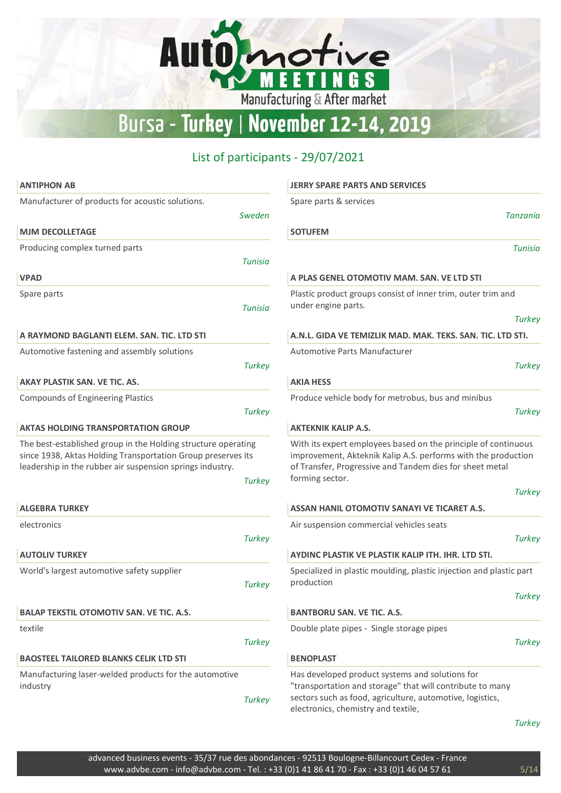Automotive

 $\overline{\mathsf{E}}$ 

ET

**NGS** 

П

Manufacturing & After market

## List of participants - 29/07/2021

| <b>ANTIPHON AB</b>                                                                                                                                                                                          | <b>JERRY SPARE PARTS AND SERVICES</b>                                                                                                                                                                                           |
|-------------------------------------------------------------------------------------------------------------------------------------------------------------------------------------------------------------|---------------------------------------------------------------------------------------------------------------------------------------------------------------------------------------------------------------------------------|
| Manufacturer of products for acoustic solutions.                                                                                                                                                            | Spare parts & services                                                                                                                                                                                                          |
| Sweden                                                                                                                                                                                                      | Tanzania                                                                                                                                                                                                                        |
| <b>MJM DECOLLETAGE</b>                                                                                                                                                                                      | <b>SOTUFEM</b>                                                                                                                                                                                                                  |
| Producing complex turned parts                                                                                                                                                                              | Tunisia                                                                                                                                                                                                                         |
| Tunisia                                                                                                                                                                                                     |                                                                                                                                                                                                                                 |
| <b>VPAD</b>                                                                                                                                                                                                 | A PLAS GENEL OTOMOTIV MAM. SAN. VE LTD STI                                                                                                                                                                                      |
| Spare parts<br><b>Tunisia</b>                                                                                                                                                                               | Plastic product groups consist of inner trim, outer trim and<br>under engine parts.                                                                                                                                             |
|                                                                                                                                                                                                             | <b>Turkey</b>                                                                                                                                                                                                                   |
| A RAYMOND BAGLANTI ELEM. SAN. TIC. LTD STI                                                                                                                                                                  | A.N.L. GIDA VE TEMIZLIK MAD. MAK. TEKS. SAN. TIC. LTD STI.                                                                                                                                                                      |
| Automotive fastening and assembly solutions                                                                                                                                                                 | <b>Automotive Parts Manufacturer</b>                                                                                                                                                                                            |
| <b>Turkey</b>                                                                                                                                                                                               | <b>Turkey</b>                                                                                                                                                                                                                   |
| AKAY PLASTIK SAN. VE TIC. AS.                                                                                                                                                                               | <b>AKIA HESS</b>                                                                                                                                                                                                                |
| <b>Compounds of Engineering Plastics</b><br><b>Turkey</b>                                                                                                                                                   | Produce vehicle body for metrobus, bus and minibus<br><b>Turkey</b>                                                                                                                                                             |
| <b>AKTAS HOLDING TRANSPORTATION GROUP</b>                                                                                                                                                                   | <b>AKTEKNIK KALIP A.S.</b>                                                                                                                                                                                                      |
| The best-established group in the Holding structure operating<br>since 1938, Aktas Holding Transportation Group preserves its<br>leadership in the rubber air suspension springs industry.<br><b>Turkey</b> | With its expert employees based on the principle of continuous<br>improvement, Akteknik Kalip A.S. performs with the production<br>of Transfer, Progressive and Tandem dies for sheet metal<br>forming sector.<br><b>Turkey</b> |
| <b>ALGEBRA TURKEY</b>                                                                                                                                                                                       | <b>ASSAN HANIL OTOMOTIV SANAYI VE TICARET A.S.</b>                                                                                                                                                                              |
| electronics                                                                                                                                                                                                 | Air suspension commercial vehicles seats                                                                                                                                                                                        |
| <b>Turkey</b>                                                                                                                                                                                               | <b>Turkey</b>                                                                                                                                                                                                                   |
| <b>AUTOLIV TURKEY</b>                                                                                                                                                                                       | AYDINC PLASTIK VE PLASTIK KALIP ITH. IHR. LTD STI.                                                                                                                                                                              |
| World's largest automotive safety supplier<br><b>Turkey</b>                                                                                                                                                 | Specialized in plastic moulding, plastic injection and plastic part<br>production                                                                                                                                               |
|                                                                                                                                                                                                             | <b>Turkey</b>                                                                                                                                                                                                                   |
| <b>BALAP TEKSTIL OTOMOTIV SAN. VE TIC. A.S.</b>                                                                                                                                                             | <b>BANTBORU SAN. VE TIC. A.S.</b>                                                                                                                                                                                               |
| textile                                                                                                                                                                                                     | Double plate pipes - Single storage pipes                                                                                                                                                                                       |
| <b>Turkey</b>                                                                                                                                                                                               | <b>Turkey</b>                                                                                                                                                                                                                   |
| <b>BAOSTEEL TAILORED BLANKS CELIK LTD STI</b>                                                                                                                                                               | <b>BENOPLAST</b>                                                                                                                                                                                                                |
| Manufacturing laser-welded products for the automotive<br>industry<br><b>Turkey</b>                                                                                                                         | Has developed product systems and solutions for<br>"transportation and storage" that will contribute to many<br>sectors such as food, agriculture, automotive, logistics,<br>electronics, chemistry and textile,                |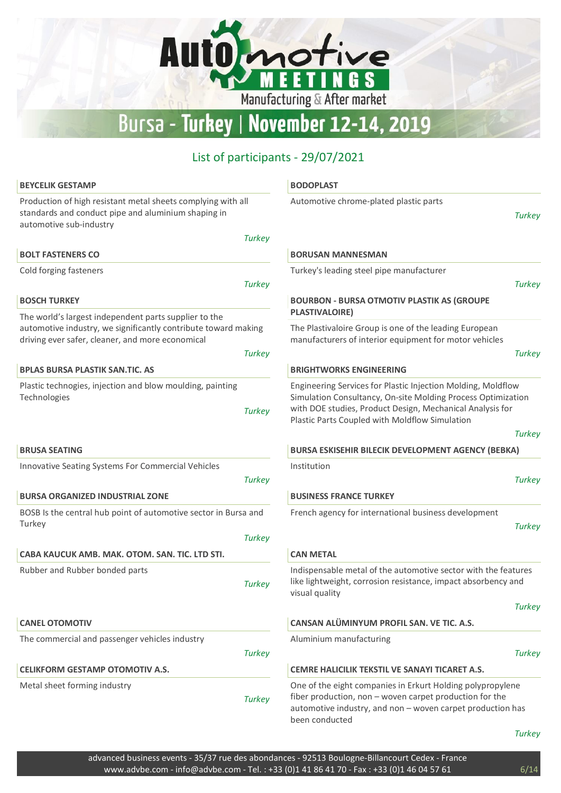Manufacturing & After market

Automotive

## List of participants - 29/07/2021

| <b>BEYCELIK GESTAMP</b>                                                                                                                        | <b>BODOPLAST</b>                                                                                                                                                                                                                            |
|------------------------------------------------------------------------------------------------------------------------------------------------|---------------------------------------------------------------------------------------------------------------------------------------------------------------------------------------------------------------------------------------------|
| Production of high resistant metal sheets complying with all<br>standards and conduct pipe and aluminium shaping in<br>automotive sub-industry | Automotive chrome-plated plastic parts<br><b>Turkey</b>                                                                                                                                                                                     |
| <b>Turkey</b>                                                                                                                                  |                                                                                                                                                                                                                                             |
| <b>BOLT FASTENERS CO</b>                                                                                                                       | <b>BORUSAN MANNESMAN</b>                                                                                                                                                                                                                    |
| Cold forging fasteners                                                                                                                         | Turkey's leading steel pipe manufacturer                                                                                                                                                                                                    |
| <b>Turkey</b>                                                                                                                                  | <b>Turkey</b>                                                                                                                                                                                                                               |
| <b>BOSCH TURKEY</b>                                                                                                                            | <b>BOURBON - BURSA OTMOTIV PLASTIK AS (GROUPE</b>                                                                                                                                                                                           |
| The world's largest independent parts supplier to the                                                                                          | <b>PLASTIVALOIRE)</b>                                                                                                                                                                                                                       |
| automotive industry, we significantly contribute toward making<br>driving ever safer, cleaner, and more economical                             | The Plastivaloire Group is one of the leading European<br>manufacturers of interior equipment for motor vehicles                                                                                                                            |
| <b>Turkey</b>                                                                                                                                  | <b>Turkey</b>                                                                                                                                                                                                                               |
| <b>BPLAS BURSA PLASTIK SAN.TIC. AS</b>                                                                                                         | <b>BRIGHTWORKS ENGINEERING</b>                                                                                                                                                                                                              |
| Plastic technogies, injection and blow moulding, painting<br>Technologies<br><b>Turkey</b>                                                     | Engineering Services for Plastic Injection Molding, Moldflow<br>Simulation Consultancy, On-site Molding Process Optimization<br>with DOE studies, Product Design, Mechanical Analysis for<br>Plastic Parts Coupled with Moldflow Simulation |
|                                                                                                                                                | <b>Turkey</b>                                                                                                                                                                                                                               |
| <b>BRUSA SEATING</b>                                                                                                                           | <b>BURSA ESKISEHIR BILECIK DEVELOPMENT AGENCY (BEBKA)</b>                                                                                                                                                                                   |
| Innovative Seating Systems For Commercial Vehicles                                                                                             | Institution                                                                                                                                                                                                                                 |
| <b>Turkey</b>                                                                                                                                  | <b>Turkey</b>                                                                                                                                                                                                                               |
| <b>BURSA ORGANIZED INDUSTRIAL ZONE</b>                                                                                                         | <b>BUSINESS FRANCE TURKEY</b>                                                                                                                                                                                                               |
| BOSB Is the central hub point of automotive sector in Bursa and                                                                                | French agency for international business development                                                                                                                                                                                        |
| Turkey                                                                                                                                         | <b>Turkey</b>                                                                                                                                                                                                                               |
| <b>Turkey</b>                                                                                                                                  |                                                                                                                                                                                                                                             |
| CABA KAUCUK AMB, MAK, OTOM, SAN, TIC, LTD STI,                                                                                                 | <b>CAN METAL</b>                                                                                                                                                                                                                            |
| Rubber and Rubber bonded parts<br><b>Turkey</b>                                                                                                | Indispensable metal of the automotive sector with the features<br>like lightweight, corrosion resistance, impact absorbency and<br>visual quality                                                                                           |
|                                                                                                                                                | <b>Turkey</b>                                                                                                                                                                                                                               |
| <b>CANEL OTOMOTIV</b>                                                                                                                          | CANSAN ALÜMINYUM PROFIL SAN. VE TIC. A.S.                                                                                                                                                                                                   |
| The commercial and passenger vehicles industry                                                                                                 | Aluminium manufacturing                                                                                                                                                                                                                     |
| <b>Turkey</b>                                                                                                                                  | <b>Turkey</b>                                                                                                                                                                                                                               |
| <b>CELIKFORM GESTAMP OTOMOTIV A.S.</b>                                                                                                         | CEMRE HALICILIK TEKSTIL VE SANAYI TICARET A.S.                                                                                                                                                                                              |
| Metal sheet forming industry<br><b>Turkey</b>                                                                                                  | One of the eight companies in Erkurt Holding polypropylene<br>fiber production, non - woven carpet production for the<br>automotive industry, and non - woven carpet production has<br>been conducted                                       |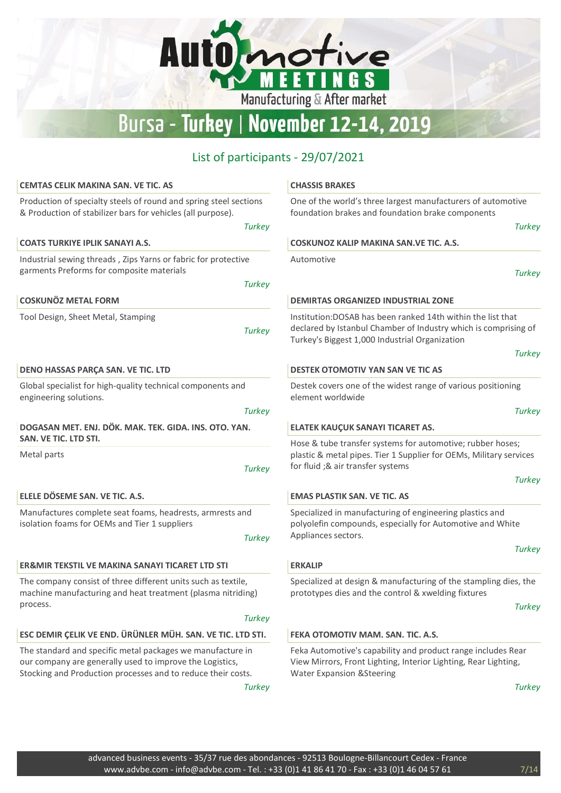Manufacturing & After market

Automotive

| <b>CEMTAS CELIK MAKINA SAN. VE TIC. AS</b>                                                                                                                                             | <b>CHASSIS BRAKES</b>                                                                                                                                                                              |
|----------------------------------------------------------------------------------------------------------------------------------------------------------------------------------------|----------------------------------------------------------------------------------------------------------------------------------------------------------------------------------------------------|
| Production of specialty steels of round and spring steel sections<br>& Production of stabilizer bars for vehicles (all purpose).<br><b>Turkey</b>                                      | One of the world's three largest manufacturers of automotive<br>foundation brakes and foundation brake components<br><b>Turkey</b>                                                                 |
| <b>COATS TURKIYE IPLIK SANAYI A.S.</b>                                                                                                                                                 | COSKUNOZ KALIP MAKINA SAN. VE TIC. A.S.                                                                                                                                                            |
| Industrial sewing threads, Zips Yarns or fabric for protective<br>garments Preforms for composite materials<br><b>Turkey</b>                                                           | Automotive<br><b>Turkey</b>                                                                                                                                                                        |
| <b>COSKUNÖZ METAL FORM</b>                                                                                                                                                             | <b>DEMIRTAS ORGANIZED INDUSTRIAL ZONE</b>                                                                                                                                                          |
| Tool Design, Sheet Metal, Stamping<br><b>Turkey</b>                                                                                                                                    | Institution: DOSAB has been ranked 14th within the list that<br>declared by Istanbul Chamber of Industry which is comprising of<br>Turkey's Biggest 1,000 Industrial Organization<br><b>Turkey</b> |
| DENO HASSAS PARÇA SAN. VE TIC. LTD                                                                                                                                                     | DESTEK OTOMOTIV YAN SAN VE TIC AS                                                                                                                                                                  |
| Global specialist for high-quality technical components and<br>engineering solutions.                                                                                                  | Destek covers one of the widest range of various positioning<br>element worldwide                                                                                                                  |
| <b>Turkey</b>                                                                                                                                                                          | <b>Turkey</b>                                                                                                                                                                                      |
| DOGASAN MET. ENJ. DÖK. MAK. TEK. GIDA. INS. OTO. YAN.                                                                                                                                  | ELATEK KAUÇUK SANAYI TICARET AS.                                                                                                                                                                   |
| SAN. VE TIC. LTD STI.<br>Metal parts<br><b>Turkey</b>                                                                                                                                  | Hose & tube transfer systems for automotive; rubber hoses;<br>plastic & metal pipes. Tier 1 Supplier for OEMs, Military services<br>for fluid ;& air transfer systems                              |
|                                                                                                                                                                                        | <b>Turkey</b>                                                                                                                                                                                      |
| ELELE DÖSEME SAN. VE TIC. A.S.                                                                                                                                                         | <b>EMAS PLASTIK SAN. VE TIC. AS</b>                                                                                                                                                                |
| Manufactures complete seat foams, headrests, armrests and<br>isolation foams for OEMs and Tier 1 suppliers<br><b>Turkey</b>                                                            | Specialized in manufacturing of engineering plastics and<br>polyolefin compounds, especially for Automotive and White<br>Appliances sectors.                                                       |
|                                                                                                                                                                                        | <b>Turkey</b>                                                                                                                                                                                      |
| <b>ER&amp;MIR TEKSTIL VE MAKINA SANAYI TICARET LTD STI</b>                                                                                                                             | <b>ERKALIP</b>                                                                                                                                                                                     |
| The company consist of three different units such as textile,<br>machine manufacturing and heat treatment (plasma nitriding)<br>process.                                               | Specialized at design & manufacturing of the stampling dies, the<br>prototypes dies and the control & xwelding fixtures                                                                            |
| <b>Turkey</b>                                                                                                                                                                          | <b>Turkey</b>                                                                                                                                                                                      |
| ESC DEMIR ÇELIK VE END. ÜRÜNLER MÜH. SAN. VE TIC. LTD STI.                                                                                                                             | FEKA OTOMOTIV MAM. SAN. TIC. A.S.                                                                                                                                                                  |
| The standard and specific metal packages we manufacture in<br>our company are generally used to improve the Logistics,<br>Stocking and Production processes and to reduce their costs. | Feka Automotive's capability and product range includes Rear<br>View Mirrors, Front Lighting, Interior Lighting, Rear Lighting,<br><b>Water Expansion &amp; Steering</b>                           |
| <b>Turkey</b>                                                                                                                                                                          | <b>Turkey</b>                                                                                                                                                                                      |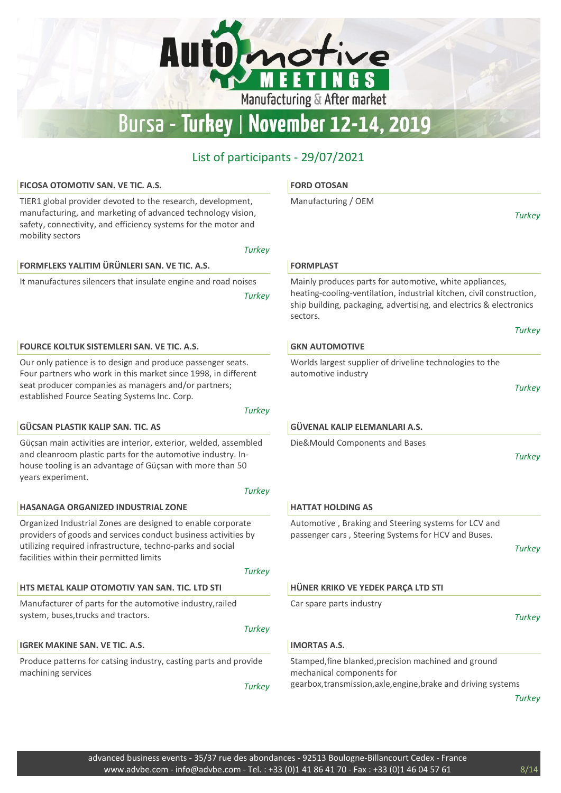Automotive

**EETINGS** 

Manufacturing & After market

#### List of participants - 29/07/2021

#### FICOSA OTOMOTIV SAN. VE TIC. A.S. TIER1 global provider devoted to the research, development, manufacturing, and marketing of advanced technology vision, safety, connectivity, and efficiency systems for the motor and mobility sectors **Turkey** FORD OTOSAN Manufacturing / OEM FORMFLEKS YALITIM ÜRÜNLERI SAN. VE TIC. A.S. It manufactures silencers that insulate engine and road noises **Turkey** FORMPLAST Mainly produces parts for automotive, white appliances, heating-cooling-ventilation, industrial kitchen, civil construction, ship building, packaging, advertising, and electrics & electronics sectors. FOURCE KOLTUK SISTEMLERI SAN. VE TIC. A.S. Our only patience is to design and produce passenger seats. Four partners who work in this market since 1998, in different seat producer companies as managers and/or partners; established Fource Seating Systems Inc. Corp. **Turkey** GKN AUTOMOTIVE Worlds largest supplier of driveline technologies to the automotive industry GÜCSAN PLASTIK KALIP SAN. TIC. AS Güçsan main activities are interior, exterior, welded, assembled and cleanroom plastic parts for the automotive industry. Inhouse tooling is an advantage of Güçsan with more than 50 years experiment. **Turkey** GÜVENAL KALIP ELEMANLARI A.S. Die&Mould Components and Bases HASANAGA ORGANIZED INDUSTRIAL ZONE Organized Industrial Zones are designed to enable corporate providers of goods and services conduct business activities by utilizing required infrastructure, techno-parks and social facilities within their permitted limits **Turkey** HATTAT HOLDING AS Automotive , Braking and Steering systems for LCV and passenger cars , Steering Systems for HCV and Buses. HTS METAL KALIP OTOMOTIV YAN SAN. TIC. LTD STI Manufacturer of parts for the automotive industry,railed system, buses,trucks and tractors. **Turkey** HÜNER KRIKO VE YEDEK PARÇA LTD STI Car spare parts industry IGREK MAKINE SAN. VE TIC. A.S. Produce patterns for catsing industry, casting parts and provide machining services **Turkey** IMORTAS A.S. Stamped,fine blanked,precision machined and ground mechanical components for gearbox,transmission,axle,engine,brake and driving systems

**Turkey** 

**Turkey** 

**Turkey** 

**Turkey** 

**Turkey** 

**Turkey**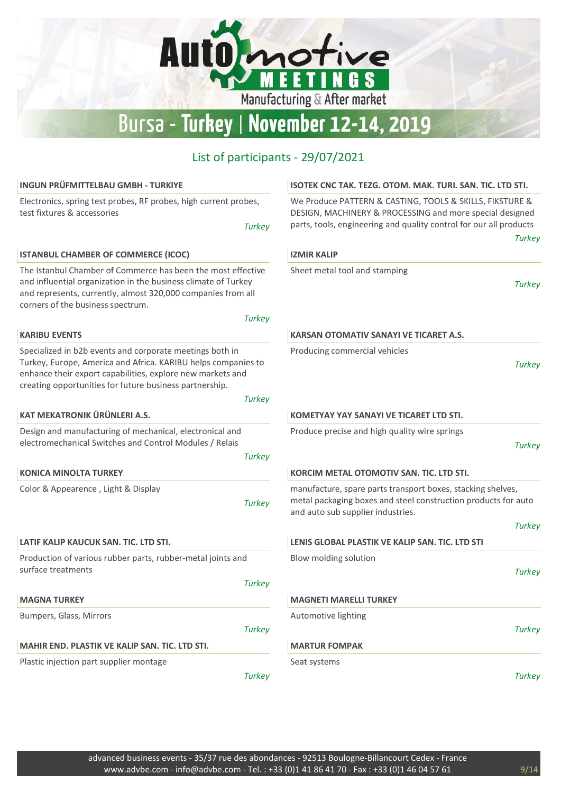# Automotive Bursa - Turkey | November 12-14, 2019

| INGUN PRÜFMITTELBAU GMBH - TURKIYE                                                                                                                                                                                                                                  | ISOTEK CNC TAK. TEZG. OTOM. MAK. TURI. SAN. TIC. LTD STI.                                                                                                                                  |
|---------------------------------------------------------------------------------------------------------------------------------------------------------------------------------------------------------------------------------------------------------------------|--------------------------------------------------------------------------------------------------------------------------------------------------------------------------------------------|
| Electronics, spring test probes, RF probes, high current probes,<br>test fixtures & accessories                                                                                                                                                                     | We Produce PATTERN & CASTING, TOOLS & SKILLS, FIKSTURE &<br>DESIGN, MACHINERY & PROCESSING and more special designed<br>parts, tools, engineering and quality control for our all products |
| <b>Turkey</b>                                                                                                                                                                                                                                                       | <b>Turkey</b>                                                                                                                                                                              |
| <b>ISTANBUL CHAMBER OF COMMERCE (ICOC)</b>                                                                                                                                                                                                                          | <b>IZMIR KALIP</b>                                                                                                                                                                         |
| The Istanbul Chamber of Commerce has been the most effective<br>and influential organization in the business climate of Turkey<br>and represents, currently, almost 320,000 companies from all<br>corners of the business spectrum.                                 | Sheet metal tool and stamping<br>Turkey                                                                                                                                                    |
| <b>Turkey</b>                                                                                                                                                                                                                                                       |                                                                                                                                                                                            |
| <b>KARIBU EVENTS</b>                                                                                                                                                                                                                                                | <b>KARSAN OTOMATIV SANAYI VE TICARET A.S.</b>                                                                                                                                              |
| Specialized in b2b events and corporate meetings both in<br>Turkey, Europe, America and Africa. KARIBU helps companies to<br>enhance their export capabilities, explore new markets and<br>creating opportunities for future business partnership.<br><b>Turkey</b> | Producing commercial vehicles<br><b>Turkey</b>                                                                                                                                             |
| KAT MEKATRONIK ÜRÜNLERI A.S.                                                                                                                                                                                                                                        | KOMETYAY YAY SANAYI VE TICARET LTD STI.                                                                                                                                                    |
| Design and manufacturing of mechanical, electronical and<br>electromechanical Switches and Control Modules / Relais                                                                                                                                                 | Produce precise and high quality wire springs<br><b>Turkey</b>                                                                                                                             |
| <b>Turkey</b>                                                                                                                                                                                                                                                       |                                                                                                                                                                                            |
| <b>KONICA MINOLTA TURKEY</b>                                                                                                                                                                                                                                        | KORCIM METAL OTOMOTIV SAN. TIC. LTD STI.                                                                                                                                                   |
| Color & Appearence, Light & Display<br><b>Turkey</b>                                                                                                                                                                                                                | manufacture, spare parts transport boxes, stacking shelves,<br>metal packaging boxes and steel construction products for auto<br>and auto sub supplier industries.                         |
|                                                                                                                                                                                                                                                                     | <b>Turkey</b>                                                                                                                                                                              |
| LATIF KALIP KAUCUK SAN. TIC. LTD STI.                                                                                                                                                                                                                               | LENIS GLOBAL PLASTIK VE KALIP SAN. TIC. LTD STI                                                                                                                                            |
| Production of various rubber parts, rubber-metal joints and<br>surface treatments                                                                                                                                                                                   | Blow molding solution<br><b>Turkey</b>                                                                                                                                                     |
| <b>Turkey</b>                                                                                                                                                                                                                                                       |                                                                                                                                                                                            |
| <b>MAGNA TURKEY</b>                                                                                                                                                                                                                                                 | <b>MAGNETI MARELLI TURKEY</b>                                                                                                                                                              |
| Bumpers, Glass, Mirrors                                                                                                                                                                                                                                             | Automotive lighting                                                                                                                                                                        |
| <b>Turkey</b>                                                                                                                                                                                                                                                       | <b>Turkey</b>                                                                                                                                                                              |
| <b>MAHIR END. PLASTIK VE KALIP SAN. TIC. LTD STI.</b>                                                                                                                                                                                                               | <b>MARTUR FOMPAK</b>                                                                                                                                                                       |
| Plastic injection part supplier montage                                                                                                                                                                                                                             | Seat systems                                                                                                                                                                               |
| <b>Turkey</b>                                                                                                                                                                                                                                                       | <b>Turkey</b>                                                                                                                                                                              |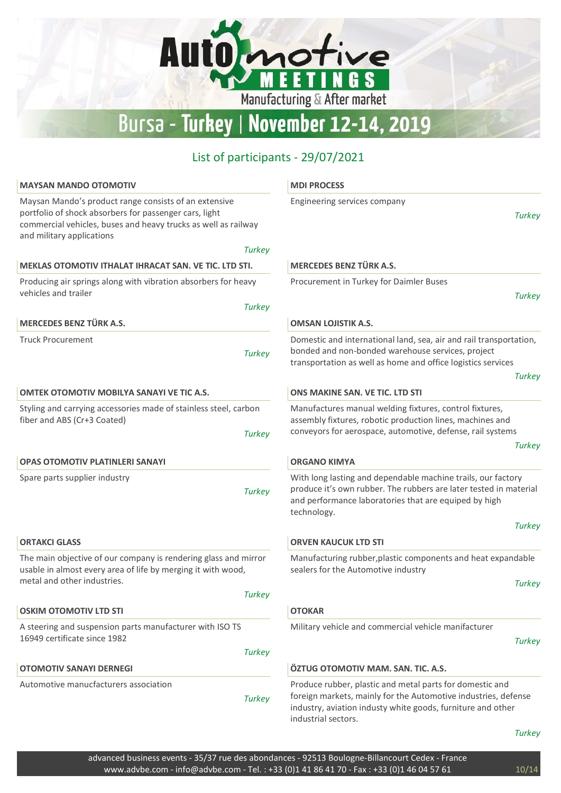# Automotive Bursa - Turkey | November 12-14, 2019

## List of participants - 29/07/2021

| <b>MAYSAN MANDO OTOMOTIV</b>                                                                                                                                                                                                    | <b>MDI PROCESS</b>                                                                                                                                                                                               |
|---------------------------------------------------------------------------------------------------------------------------------------------------------------------------------------------------------------------------------|------------------------------------------------------------------------------------------------------------------------------------------------------------------------------------------------------------------|
| Maysan Mando's product range consists of an extensive<br>portfolio of shock absorbers for passenger cars, light<br>commercial vehicles, buses and heavy trucks as well as railway<br>and military applications<br><b>Turkey</b> | Engineering services company<br><b>Turkey</b>                                                                                                                                                                    |
| MEKLAS OTOMOTIV ITHALAT IHRACAT SAN. VE TIC. LTD STI.                                                                                                                                                                           | <b>MERCEDES BENZ TÜRK A.S.</b>                                                                                                                                                                                   |
| Producing air springs along with vibration absorbers for heavy<br>vehicles and trailer<br><b>Turkey</b>                                                                                                                         | Procurement in Turkey for Daimler Buses<br><b>Turkey</b>                                                                                                                                                         |
| <b>MERCEDES BENZ TÜRK A.S.</b>                                                                                                                                                                                                  | <b>OMSAN LOJISTIK A.S.</b>                                                                                                                                                                                       |
| <b>Truck Procurement</b><br><b>Turkey</b>                                                                                                                                                                                       | Domestic and international land, sea, air and rail transportation,<br>bonded and non-bonded warehouse services, project<br>transportation as well as home and office logistics services<br><b>Turkey</b>         |
| <b>OMTEK OTOMOTIV MOBILYA SANAYI VE TIC A.S.</b>                                                                                                                                                                                | ONS MAKINE SAN, VE TIC, LTD STI                                                                                                                                                                                  |
| Styling and carrying accessories made of stainless steel, carbon<br>fiber and ABS (Cr+3 Coated)<br><b>Turkey</b>                                                                                                                | Manufactures manual welding fixtures, control fixtures,<br>assembly fixtures, robotic production lines, machines and<br>conveyors for aerospace, automotive, defense, rail systems<br><b>Turkey</b>              |
| OPAS OTOMOTIV PLATINLERI SANAYI                                                                                                                                                                                                 | <b>ORGANO KIMYA</b>                                                                                                                                                                                              |
| Spare parts supplier industry<br><b>Turkey</b>                                                                                                                                                                                  | With long lasting and dependable machine trails, our factory<br>produce it's own rubber. The rubbers are later tested in material<br>and performance laboratories that are equiped by high<br>technology.        |
|                                                                                                                                                                                                                                 | <b>Turkey</b>                                                                                                                                                                                                    |
| <b>ORTAKCI GLASS</b>                                                                                                                                                                                                            | <b>ORVEN KAUCUK LTD STI</b>                                                                                                                                                                                      |
| The main objective of our company is rendering glass and mirror<br>usable in almost every area of life by merging it with wood,                                                                                                 | Manufacturing rubber, plastic components and heat expandable<br>sealers for the Automotive industry                                                                                                              |
| metal and other industries.<br><b>Turkey</b>                                                                                                                                                                                    | <b>Turkey</b>                                                                                                                                                                                                    |
| <b>OSKIM OTOMOTIV LTD STI</b>                                                                                                                                                                                                   | <b>OTOKAR</b>                                                                                                                                                                                                    |
| A steering and suspension parts manufacturer with ISO TS                                                                                                                                                                        | Military vehicle and commercial vehicle manifacturer                                                                                                                                                             |
| 16949 certificate since 1982                                                                                                                                                                                                    | <b>Turkey</b>                                                                                                                                                                                                    |
| <b>Turkey</b>                                                                                                                                                                                                                   |                                                                                                                                                                                                                  |
| <b>OTOMOTIV SANAYI DERNEGI</b>                                                                                                                                                                                                  | ÖZTUG OTOMOTIV MAM. SAN. TIC. A.S.                                                                                                                                                                               |
| Automotive manucfacturers association<br><b>Turkey</b>                                                                                                                                                                          | Produce rubber, plastic and metal parts for domestic and<br>foreign markets, mainly for the Automotive industries, defense<br>industry, aviation industy white goods, furniture and other<br>industrial sectors. |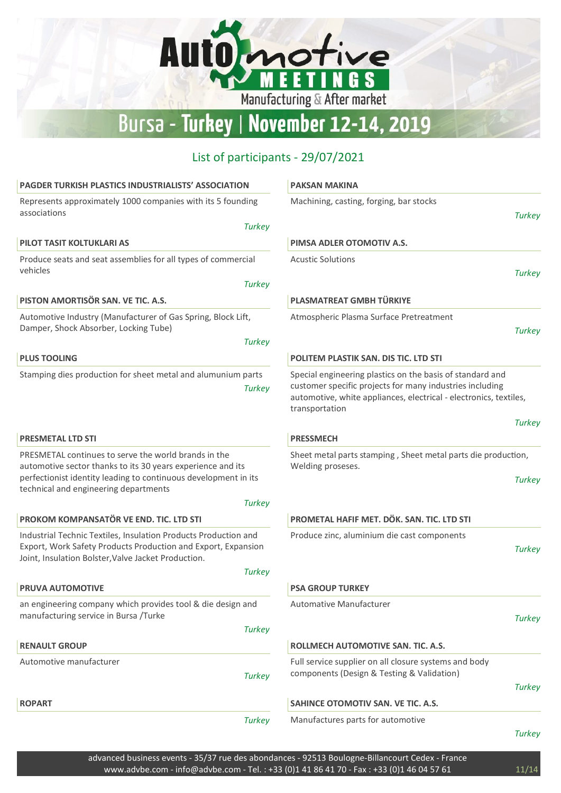Automotive

**EET** 

ו'

Manufacturing & After market

**NGS** 

| <b>PAGDER TURKISH PLASTICS INDUSTRIALISTS' ASSOCIATION</b>                                                                                                                              | <b>PAKSAN MAKINA</b>                                                                                                                                                                                         |
|-----------------------------------------------------------------------------------------------------------------------------------------------------------------------------------------|--------------------------------------------------------------------------------------------------------------------------------------------------------------------------------------------------------------|
| Represents approximately 1000 companies with its 5 founding<br>associations                                                                                                             | Machining, casting, forging, bar stocks<br><b>Turkey</b>                                                                                                                                                     |
| <b>Turkey</b>                                                                                                                                                                           |                                                                                                                                                                                                              |
| PILOT TASIT KOLTUKLARI AS                                                                                                                                                               | PIMSA ADLER OTOMOTIV A.S.                                                                                                                                                                                    |
| Produce seats and seat assemblies for all types of commercial<br>vehicles                                                                                                               | <b>Acustic Solutions</b>                                                                                                                                                                                     |
| <b>Turkey</b>                                                                                                                                                                           | <b>Turkey</b>                                                                                                                                                                                                |
| PISTON AMORTISÖR SAN. VE TIC. A.S.                                                                                                                                                      | PLASMATREAT GMBH TÜRKIYE                                                                                                                                                                                     |
| Automotive Industry (Manufacturer of Gas Spring, Block Lift,<br>Damper, Shock Absorber, Locking Tube)                                                                                   | Atmospheric Plasma Surface Pretreatment<br><b>Turkey</b>                                                                                                                                                     |
| <b>Turkey</b>                                                                                                                                                                           |                                                                                                                                                                                                              |
| <b>PLUS TOOLING</b>                                                                                                                                                                     | POLITEM PLASTIK SAN. DIS TIC. LTD STI                                                                                                                                                                        |
| Stamping dies production for sheet metal and alumunium parts<br><b>Turkey</b>                                                                                                           | Special engineering plastics on the basis of standard and<br>customer specific projects for many industries including<br>automotive, white appliances, electrical - electronics, textiles,<br>transportation |
|                                                                                                                                                                                         | <b>Turkey</b>                                                                                                                                                                                                |
| <b>PRESMETAL LTD STI</b>                                                                                                                                                                | <b>PRESSMECH</b>                                                                                                                                                                                             |
| PRESMETAL continues to serve the world brands in the<br>automotive sector thanks to its 30 years experience and its<br>perfectionist identity leading to continuous development in its  | Sheet metal parts stamping, Sheet metal parts die production,<br>Welding proseses.<br><b>Turkey</b>                                                                                                          |
| technical and engineering departments<br><b>Turkey</b>                                                                                                                                  |                                                                                                                                                                                                              |
| PROKOM KOMPANSATÖR VE END. TIC. LTD STI                                                                                                                                                 | PROMETAL HAFIF MET. DÖK. SAN. TIC. LTD STI                                                                                                                                                                   |
|                                                                                                                                                                                         |                                                                                                                                                                                                              |
| Industrial Technic Textiles, Insulation Products Production and<br>Export, Work Safety Products Production and Export, Expansion<br>Joint, Insulation Bolster, Valve Jacket Production. | Produce zinc, aluminium die cast components<br><b>Turkey</b>                                                                                                                                                 |
| <b>Turkey</b>                                                                                                                                                                           |                                                                                                                                                                                                              |
| <b>PRUVA AUTOMOTIVE</b>                                                                                                                                                                 | <b>PSA GROUP TURKEY</b>                                                                                                                                                                                      |
| an engineering company which provides tool & die design and<br>manufacturing service in Bursa /Turke                                                                                    | Automative Manufacturer<br><b>Turkey</b>                                                                                                                                                                     |
| <b>Turkey</b>                                                                                                                                                                           |                                                                                                                                                                                                              |
| <b>RENAULT GROUP</b>                                                                                                                                                                    | ROLLMECH AUTOMOTIVE SAN. TIC. A.S.                                                                                                                                                                           |
| Automotive manufacturer                                                                                                                                                                 | Full service supplier on all closure systems and body                                                                                                                                                        |
| <b>Turkey</b>                                                                                                                                                                           | components (Design & Testing & Validation)                                                                                                                                                                   |
| <b>ROPART</b>                                                                                                                                                                           | <b>Turkey</b>                                                                                                                                                                                                |
|                                                                                                                                                                                         | SAHINCE OTOMOTIV SAN. VE TIC. A.S.                                                                                                                                                                           |
| <b>Turkey</b>                                                                                                                                                                           | Manufactures parts for automotive<br><b>Turkey</b>                                                                                                                                                           |
|                                                                                                                                                                                         |                                                                                                                                                                                                              |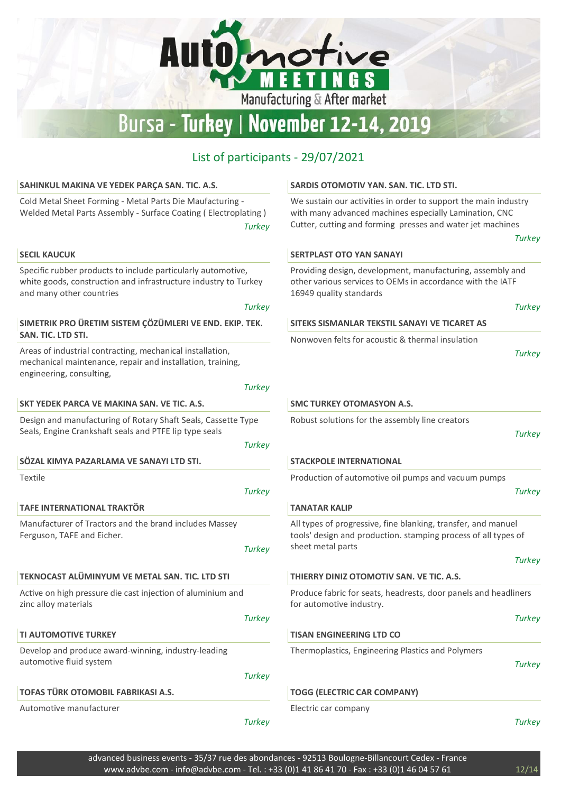## Automotive Manufacturing & After market Bursa - Turkey | November 12-14, 2019 List of participants - 29/07/2021 SAHINKUL MAKINA VE YEDEK PARÇA SAN. TIC. A.S. SARDIS OTOMOTIV YAN. SAN. TIC. LTD STI. Cold Metal Sheet Forming - Metal Parts Die Maufacturing - We sustain our activities in order to support the main industry Welded Metal Parts Assembly - Surface Coating ( Electroplating ) with many advanced machines especially Lamination, CNC Cutter, cutting and forming presses and water jet machines **Turkey Turkey** SECIL KAUCUK SERTPLAST OTO YAN SANAYI Specific rubber products to include particularly automotive, Providing design, development, manufacturing, assembly and

**Turkey** 

white goods, construction and infrastructure industry to Turkey and many other countries

SIMETRIK PRO ÜRETIM SISTEM ÇÖZÜMLERI VE END. EKIP. TEK. SAN. TIC. LTD STI.

Areas of industrial contracting, mechanical installation, mechanical maintenance, repair and installation, training, engineering, consulting,

|                                                                                                                         | <b>Turkey</b> |
|-------------------------------------------------------------------------------------------------------------------------|---------------|
| SKT YEDEK PARCA VE MAKINA SAN. VE TIC. A.S.                                                                             |               |
| Design and manufacturing of Rotary Shaft Seals, Cassette Type<br>Seals, Engine Crankshaft seals and PTFE lip type seals |               |
|                                                                                                                         | <b>Turkey</b> |
| SÖZAL KIMYA PAZARLAMA VE SANAYI LTD STI.                                                                                |               |
| Textile                                                                                                                 |               |
|                                                                                                                         | Turkey        |
| TAFE INTERNATIONAL TRAKTÖR                                                                                              |               |
| Manufacturer of Tractors and the brand includes Massey<br>Ferguson, TAFE and Eicher.                                    |               |
|                                                                                                                         | <b>Turkey</b> |
| TEKNOCAST ALÜMINYUM VE METAL SAN. TIC. LTD STI                                                                          |               |
| Active on high pressure die cast injection of aluminium and<br>zinc alloy materials                                     |               |
|                                                                                                                         | <b>Turkey</b> |
| <b>TI AUTOMOTIVE TURKEY</b>                                                                                             |               |
| Develop and produce award-winning, industry-leading<br>automotive fluid system                                          |               |
|                                                                                                                         | <b>Turkey</b> |
| TOFAS TÜRK OTOMOBIL FABRIKASI A.S.                                                                                      |               |
| Automotive manufacturer                                                                                                 |               |
|                                                                                                                         | Turkey        |

other various services to OEMs in accordance with the IATF 16949 quality standards

| . .<br>× |
|----------|
|----------|

#### SITEKS SISMANLAR TEKSTIL SANAYI VE TICARET AS

Nonwoven felts for acoustic & thermal insulation

```
Turkey
```
#### SMC TURKEY OTOMASYON A.S.

Robust solutions for the assembly line creators

```
Turkey
```
#### STACKPOLE INTERNATIONAL

Production of automotive oil pumps and vacuum pumps

**Turkey** 

**Turkey** 

#### TANATAR KALIP

All types of progressive, fine blanking, transfer, and manuel tools' design and production. stamping process of all types of sheet metal parts

#### THIERRY DINIZ OTOMOTIV SAN. VE TIC. A.S.

Produce fabric for seats, headrests, door panels and headliners for automotive industry.

#### TISAN ENGINEERING LTD CO

Thermoplastics, Engineering Plastics and Polymers

**Turkey** 

**Turkey** 

#### TOGG (ELECTRIC CAR COMPANY)

Electric car company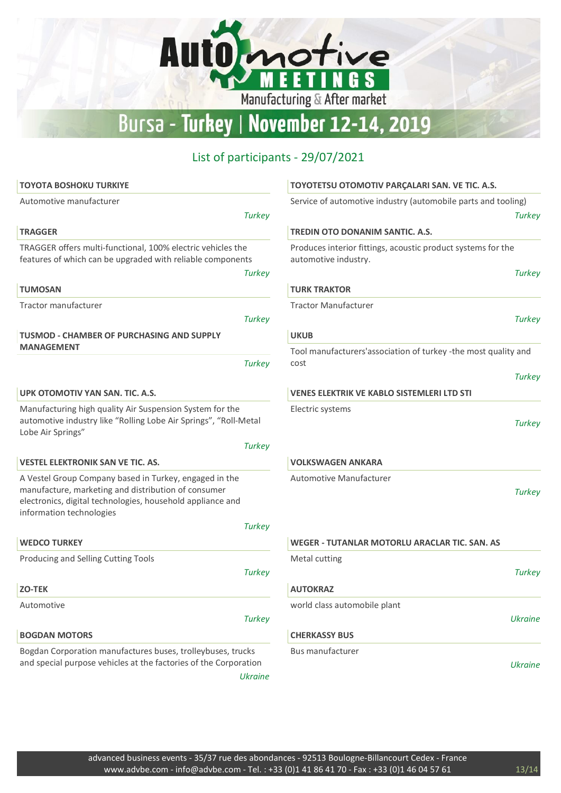Automotive

G<sub>S</sub>

N

Manufacturing & After market

| <b>TOYOTA BOSHOKU TURKIYE</b>                                                                                                                                                                           | <b>TOYOTETSU OTOMOTIV PARCALARI SAN. VE TIC. A.S.</b>                                                 |
|---------------------------------------------------------------------------------------------------------------------------------------------------------------------------------------------------------|-------------------------------------------------------------------------------------------------------|
| Automotive manufacturer<br><b>Turkey</b>                                                                                                                                                                | Service of automotive industry (automobile parts and tooling)<br><b>Turkey</b>                        |
| <b>TRAGGER</b>                                                                                                                                                                                          | <b>TREDIN OTO DONANIM SANTIC. A.S.</b>                                                                |
| TRAGGER offers multi-functional, 100% electric vehicles the<br>features of which can be upgraded with reliable components<br><b>Turkey</b>                                                              | Produces interior fittings, acoustic product systems for the<br>automotive industry.<br><b>Turkey</b> |
| <b>TUMOSAN</b>                                                                                                                                                                                          | <b>TURK TRAKTOR</b>                                                                                   |
| Tractor manufacturer                                                                                                                                                                                    | <b>Tractor Manufacturer</b>                                                                           |
| <b>Turkey</b>                                                                                                                                                                                           | <b>Turkey</b>                                                                                         |
| <b>TUSMOD - CHAMBER OF PURCHASING AND SUPPLY</b>                                                                                                                                                        | <b>UKUB</b>                                                                                           |
| <b>MANAGEMENT</b><br><b>Turkey</b>                                                                                                                                                                      | Tool manufacturers'association of turkey -the most quality and<br>cost                                |
|                                                                                                                                                                                                         | <b>Turkey</b>                                                                                         |
| UPK OTOMOTIV YAN SAN. TIC. A.S.                                                                                                                                                                         | <b>VENES ELEKTRIK VE KABLO SISTEMLERI LTD STI</b>                                                     |
| Manufacturing high quality Air Suspension System for the<br>automotive industry like "Rolling Lobe Air Springs", "Roll-Metal<br>Lobe Air Springs"                                                       | Electric systems<br><b>Turkey</b>                                                                     |
| <b>Turkey</b><br><b>VESTEL ELEKTRONIK SAN VE TIC. AS.</b>                                                                                                                                               | <b>VOLKSWAGEN ANKARA</b>                                                                              |
|                                                                                                                                                                                                         |                                                                                                       |
| A Vestel Group Company based in Turkey, engaged in the<br>manufacture, marketing and distribution of consumer<br>electronics, digital technologies, household appliance and<br>information technologies | Automotive Manufacturer<br><b>Turkey</b>                                                              |
| <b>Turkey</b>                                                                                                                                                                                           |                                                                                                       |
| <b>WEDCO TURKEY</b>                                                                                                                                                                                     | <b>WEGER - TUTANLAR MOTORLU ARACLAR TIC. SAN. AS</b>                                                  |
| Producing and Selling Cutting Tools<br><b>Turkey</b>                                                                                                                                                    | Metal cutting<br><b>Turkey</b>                                                                        |
| <b>ZO-TEK</b>                                                                                                                                                                                           | <b>AUTOKRAZ</b>                                                                                       |
| Automotive                                                                                                                                                                                              | world class automobile plant                                                                          |
| <b>Turkey</b>                                                                                                                                                                                           | <b>Ukraine</b>                                                                                        |
| <b>BOGDAN MOTORS</b>                                                                                                                                                                                    | <b>CHERKASSY BUS</b>                                                                                  |
| Bogdan Corporation manufactures buses, trolleybuses, trucks<br>and special purpose vehicles at the factories of the Corporation<br><b>Ukraine</b>                                                       | <b>Bus manufacturer</b><br><b>Ukraine</b>                                                             |